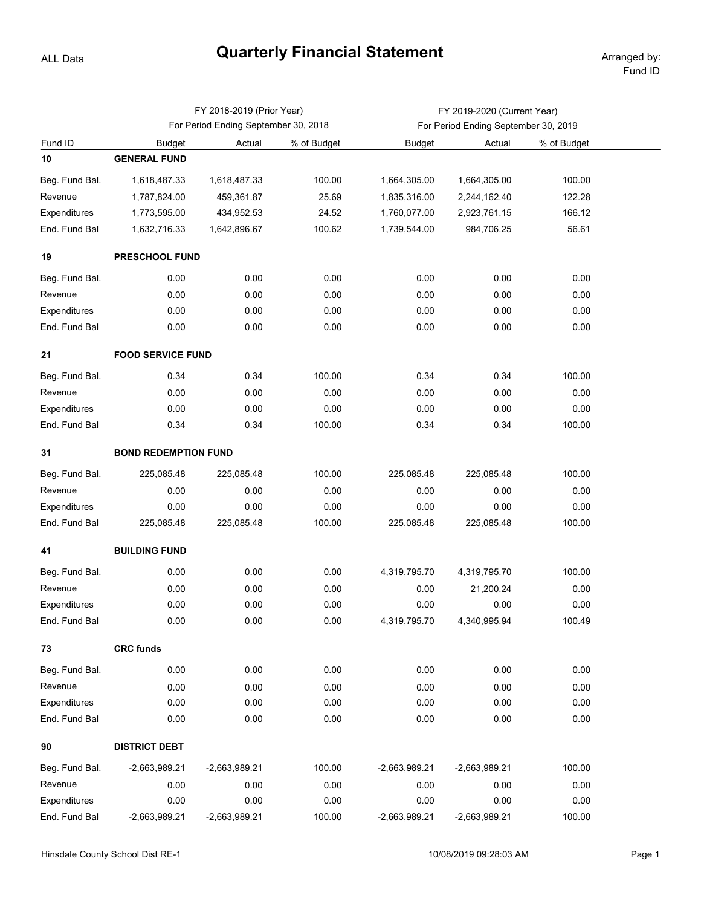## **Quarterly Financial Statement** Arranged by:

ALL Data

|                |                                      | FY 2018-2019 (Prior Year) |             | FY 2019-2020 (Current Year)          |                 |             |  |  |  |  |
|----------------|--------------------------------------|---------------------------|-------------|--------------------------------------|-----------------|-------------|--|--|--|--|
|                | For Period Ending September 30, 2018 |                           |             | For Period Ending September 30, 2019 |                 |             |  |  |  |  |
| Fund ID        | <b>Budget</b>                        | Actual                    | % of Budget | <b>Budget</b>                        | Actual          | % of Budget |  |  |  |  |
| 10             | <b>GENERAL FUND</b>                  |                           |             |                                      |                 |             |  |  |  |  |
| Beg. Fund Bal. | 1,618,487.33                         | 1,618,487.33              | 100.00      | 1,664,305.00                         | 1,664,305.00    | 100.00      |  |  |  |  |
| Revenue        | 1,787,824.00                         | 459,361.87                | 25.69       | 1,835,316.00                         | 2,244,162.40    | 122.28      |  |  |  |  |
| Expenditures   | 1,773,595.00                         | 434,952.53                | 24.52       | 1,760,077.00                         | 2,923,761.15    | 166.12      |  |  |  |  |
| End. Fund Bal  | 1,632,716.33                         | 1,642,896.67              | 100.62      | 1,739,544.00                         | 984,706.25      | 56.61       |  |  |  |  |
| 19             | PRESCHOOL FUND                       |                           |             |                                      |                 |             |  |  |  |  |
| Beg. Fund Bal. | 0.00                                 | 0.00                      | 0.00        | 0.00                                 | 0.00            | 0.00        |  |  |  |  |
| Revenue        | 0.00                                 | 0.00                      | 0.00        | 0.00                                 | 0.00            | 0.00        |  |  |  |  |
| Expenditures   | 0.00                                 | 0.00                      | 0.00        | 0.00                                 | 0.00            | 0.00        |  |  |  |  |
| End. Fund Bal  | 0.00                                 | 0.00                      | 0.00        | 0.00                                 | 0.00            | 0.00        |  |  |  |  |
| 21             | <b>FOOD SERVICE FUND</b>             |                           |             |                                      |                 |             |  |  |  |  |
| Beg. Fund Bal. | 0.34                                 | 0.34                      | 100.00      | 0.34                                 | 0.34            | 100.00      |  |  |  |  |
| Revenue        | 0.00                                 | 0.00                      | 0.00        | 0.00                                 | 0.00            | 0.00        |  |  |  |  |
| Expenditures   | 0.00                                 | 0.00                      | 0.00        | 0.00                                 | 0.00            | 0.00        |  |  |  |  |
| End. Fund Bal  | 0.34                                 | 0.34                      | 100.00      | 0.34                                 | 0.34            | 100.00      |  |  |  |  |
| 31             | <b>BOND REDEMPTION FUND</b>          |                           |             |                                      |                 |             |  |  |  |  |
| Beg. Fund Bal. | 225,085.48                           | 225,085.48                | 100.00      | 225,085.48                           | 225,085.48      | 100.00      |  |  |  |  |
| Revenue        | 0.00                                 | 0.00                      | 0.00        | 0.00                                 | 0.00            | 0.00        |  |  |  |  |
| Expenditures   | 0.00                                 | 0.00                      | 0.00        | 0.00                                 | 0.00            | 0.00        |  |  |  |  |
| End. Fund Bal  | 225,085.48                           | 225,085.48                | 100.00      | 225,085.48                           | 225,085.48      | 100.00      |  |  |  |  |
| 41             | <b>BUILDING FUND</b>                 |                           |             |                                      |                 |             |  |  |  |  |
| Beg. Fund Bal. | 0.00                                 | 0.00                      | 0.00        | 4,319,795.70                         | 4,319,795.70    | 100.00      |  |  |  |  |
| Revenue        | 0.00                                 | 0.00                      | 0.00        | 0.00                                 | 21,200.24       | 0.00        |  |  |  |  |
| Expenditures   | 0.00                                 | 0.00                      | 0.00        | 0.00                                 | 0.00            | 0.00        |  |  |  |  |
| End. Fund Bal  | 0.00                                 | 0.00                      | 0.00        | 4,319,795.70                         | 4,340,995.94    | 100.49      |  |  |  |  |
| 73             | <b>CRC funds</b>                     |                           |             |                                      |                 |             |  |  |  |  |
| Beg. Fund Bal. | 0.00                                 | 0.00                      | 0.00        | 0.00                                 | 0.00            | 0.00        |  |  |  |  |
| Revenue        | 0.00                                 | 0.00                      | 0.00        | 0.00                                 | 0.00            | 0.00        |  |  |  |  |
| Expenditures   | 0.00                                 | 0.00                      | 0.00        | 0.00                                 | 0.00            | 0.00        |  |  |  |  |
| End. Fund Bal  | 0.00                                 | 0.00                      | 0.00        | 0.00                                 | 0.00            | 0.00        |  |  |  |  |
| 90             | <b>DISTRICT DEBT</b>                 |                           |             |                                      |                 |             |  |  |  |  |
| Beg. Fund Bal. | $-2,663,989.21$                      | -2,663,989.21             | 100.00      | -2,663,989.21                        | $-2,663,989.21$ | 100.00      |  |  |  |  |
| Revenue        | 0.00                                 | 0.00                      | 0.00        | 0.00                                 | 0.00            | 0.00        |  |  |  |  |
| Expenditures   | 0.00                                 | 0.00                      | 0.00        | 0.00                                 | 0.00            | 0.00        |  |  |  |  |
| End. Fund Bal  | $-2,663,989.21$                      | -2,663,989.21             | 100.00      | -2,663,989.21                        | $-2,663,989.21$ | 100.00      |  |  |  |  |